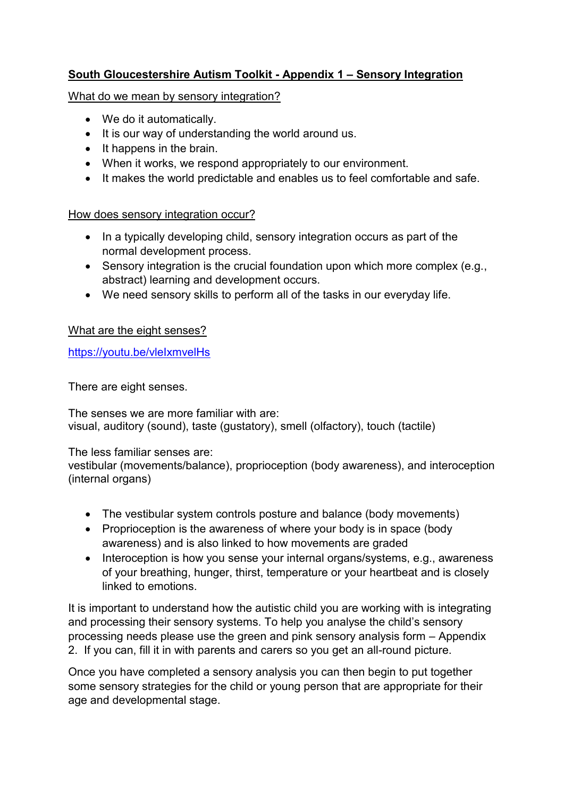# **South Gloucestershire Autism Toolkit - Appendix 1 – Sensory Integration**

What do we mean by sensory integration?

- We do it automatically.
- It is our way of understanding the world around us.
- $\bullet$  It happens in the brain.
- When it works, we respond appropriately to our environment.
- It makes the world predictable and enables us to feel comfortable and safe.

# How does sensory integration occur?

- In a typically developing child, sensory integration occurs as part of the normal development process.
- Sensory integration is the crucial foundation upon which more complex (e.g., abstract) learning and development occurs.
- We need sensory skills to perform all of the tasks in our everyday life.

# What are the eight senses?

<https://youtu.be/vleIxmvelHs>

There are eight senses.

The senses we are more familiar with are: visual, auditory (sound), taste (gustatory), smell (olfactory), touch (tactile)

The less familiar senses are:

vestibular (movements/balance), proprioception (body awareness), and interoception (internal organs)

- The vestibular system controls posture and balance (body movements)
- Proprioception is the awareness of where your body is in space (body awareness) and is also linked to how movements are graded
- Interoception is how you sense your internal organs/systems, e.g., awareness of your breathing, hunger, thirst, temperature or your heartbeat and is closely linked to emotions.

It is important to understand how the autistic child you are working with is integrating and processing their sensory systems. To help you analyse the child's sensory processing needs please use the green and pink sensory analysis form – Appendix 2. If you can, fill it in with parents and carers so you get an all-round picture.

Once you have completed a sensory analysis you can then begin to put together some sensory strategies for the child or young person that are appropriate for their age and developmental stage.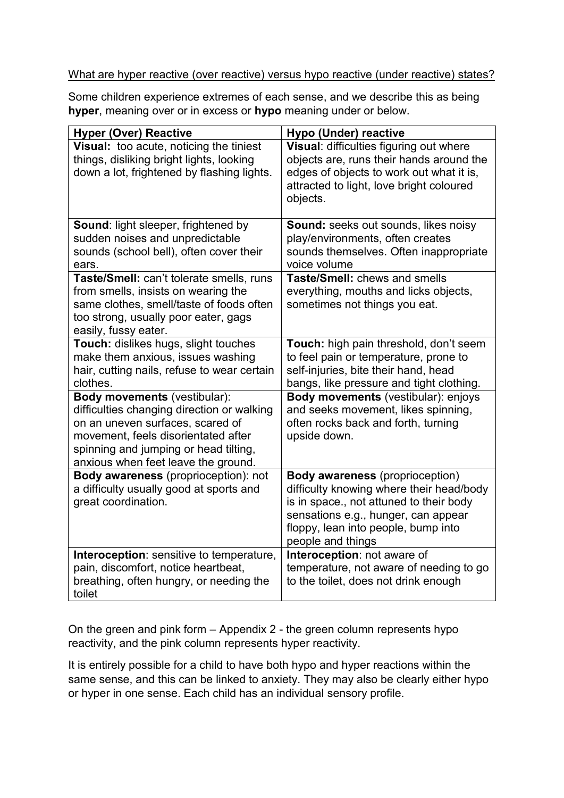### What are hyper reactive (over reactive) versus hypo reactive (under reactive) states?

Some children experience extremes of each sense, and we describe this as being **hyper**, meaning over or in excess or **hypo** meaning under or below.

| <b>Hyper (Over) Reactive</b>                                                                                                                                                                                                                 | Hypo (Under) reactive                                                                                                                                                                                                            |
|----------------------------------------------------------------------------------------------------------------------------------------------------------------------------------------------------------------------------------------------|----------------------------------------------------------------------------------------------------------------------------------------------------------------------------------------------------------------------------------|
| Visual: too acute, noticing the tiniest<br>things, disliking bright lights, looking<br>down a lot, frightened by flashing lights.                                                                                                            | Visual: difficulties figuring out where<br>objects are, runs their hands around the<br>edges of objects to work out what it is,<br>attracted to light, love bright coloured<br>objects.                                          |
| Sound: light sleeper, frightened by<br>sudden noises and unpredictable<br>sounds (school bell), often cover their<br>ears.                                                                                                                   | <b>Sound:</b> seeks out sounds, likes noisy<br>play/environments, often creates<br>sounds themselves. Often inappropriate<br>voice volume                                                                                        |
| Taste/Smell: can't tolerate smells, runs<br>from smells, insists on wearing the<br>same clothes, smell/taste of foods often<br>too strong, usually poor eater, gags<br>easily, fussy eater.                                                  | Taste/Smell: chews and smells<br>everything, mouths and licks objects,<br>sometimes not things you eat.                                                                                                                          |
| Touch: dislikes hugs, slight touches<br>make them anxious, issues washing<br>hair, cutting nails, refuse to wear certain<br>clothes.                                                                                                         | Touch: high pain threshold, don't seem<br>to feel pain or temperature, prone to<br>self-injuries, bite their hand, head<br>bangs, like pressure and tight clothing.                                                              |
| <b>Body movements (vestibular):</b><br>difficulties changing direction or walking<br>on an uneven surfaces, scared of<br>movement, feels disorientated after<br>spinning and jumping or head tilting,<br>anxious when feet leave the ground. | Body movements (vestibular): enjoys<br>and seeks movement, likes spinning,<br>often rocks back and forth, turning<br>upside down.                                                                                                |
| Body awareness (proprioception): not<br>a difficulty usually good at sports and<br>great coordination.                                                                                                                                       | <b>Body awareness</b> (proprioception)<br>difficulty knowing where their head/body<br>is in space., not attuned to their body<br>sensations e.g., hunger, can appear<br>floppy, lean into people, bump into<br>people and things |
| Interoception: sensitive to temperature,<br>pain, discomfort, notice heartbeat,<br>breathing, often hungry, or needing the<br>toilet                                                                                                         | Interoception: not aware of<br>temperature, not aware of needing to go<br>to the toilet, does not drink enough                                                                                                                   |

On the green and pink form – Appendix 2 - the green column represents hypo reactivity, and the pink column represents hyper reactivity.

It is entirely possible for a child to have both hypo and hyper reactions within the same sense, and this can be linked to anxiety. They may also be clearly either hypo or hyper in one sense. Each child has an individual sensory profile.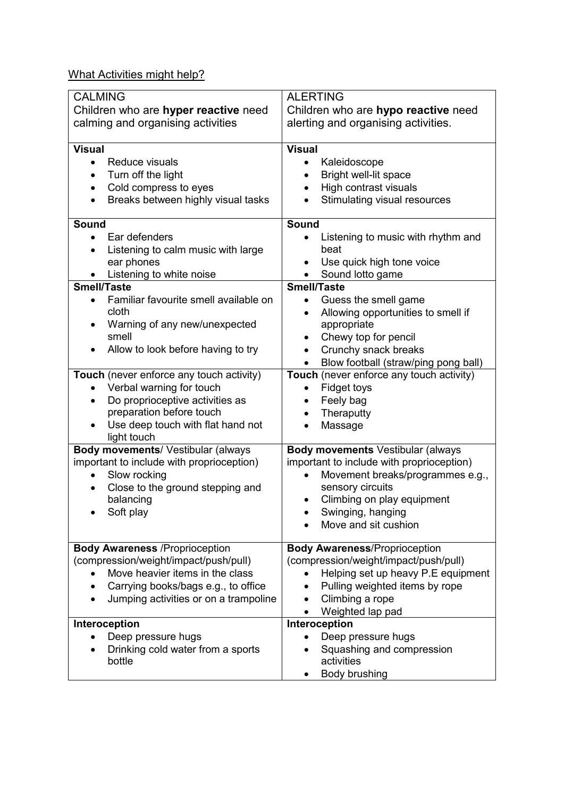What Activities might help?

| <b>CALMING</b><br>Children who are hyper reactive need | <b>ALERTING</b><br>Children who are hypo reactive need                           |
|--------------------------------------------------------|----------------------------------------------------------------------------------|
| calming and organising activities                      | alerting and organising activities.                                              |
| <b>Visual</b>                                          | <b>Visual</b>                                                                    |
| Reduce visuals<br>$\bullet$                            | Kaleidoscope<br>$\bullet$                                                        |
| Turn off the light                                     | Bright well-lit space                                                            |
| Cold compress to eyes<br>$\bullet$                     | High contrast visuals                                                            |
| Breaks between highly visual tasks<br>$\bullet$        | Stimulating visual resources                                                     |
| <b>Sound</b>                                           | <b>Sound</b>                                                                     |
| Ear defenders<br>$\bullet$                             | Listening to music with rhythm and                                               |
| Listening to calm music with large                     | beat                                                                             |
| ear phones                                             | Use quick high tone voice                                                        |
| Listening to white noise                               | Sound lotto game                                                                 |
| <b>Smell/Taste</b>                                     | <b>Smell/Taste</b>                                                               |
| Familiar favourite smell available on<br>$\bullet$     | Guess the smell game                                                             |
| cloth                                                  | Allowing opportunities to smell if                                               |
| Warning of any new/unexpected<br>smell                 | appropriate                                                                      |
|                                                        | Chewy top for pencil<br>$\bullet$                                                |
| Allow to look before having to try                     | Crunchy snack breaks                                                             |
| Touch (never enforce any touch activity)               | Blow football (straw/ping pong ball)<br>Touch (never enforce any touch activity) |
| Verbal warning for touch<br>$\bullet$                  | Fidget toys<br>$\bullet$                                                         |
| Do proprioceptive activities as<br>$\bullet$           | Feely bag<br>$\bullet$                                                           |
| preparation before touch                               | Theraputty                                                                       |
| Use deep touch with flat hand not                      | Massage                                                                          |
| light touch                                            |                                                                                  |
| Body movements/ Vestibular (always                     | <b>Body movements Vestibular (always</b>                                         |
| important to include with proprioception)              | important to include with proprioception)                                        |
| Slow rocking                                           | Movement breaks/programmes e.g.,                                                 |
| Close to the ground stepping and                       | sensory circuits                                                                 |
| balancing                                              | Climbing on play equipment                                                       |
| Soft play                                              | Swinging, hanging                                                                |
|                                                        | Move and sit cushion                                                             |
| <b>Body Awareness /Proprioception</b>                  | <b>Body Awareness/Proprioception</b>                                             |
| (compression/weight/impact/push/pull)                  | (compression/weight/impact/push/pull)                                            |
| Move heavier items in the class                        | Helping set up heavy P.E equipment                                               |
| Carrying books/bags e.g., to office                    | Pulling weighted items by rope                                                   |
| Jumping activities or on a trampoline                  | Climbing a rope                                                                  |
|                                                        | Weighted lap pad                                                                 |
| Interoception                                          | Interoception                                                                    |
| Deep pressure hugs                                     | Deep pressure hugs                                                               |
| Drinking cold water from a sports                      | Squashing and compression                                                        |
| bottle                                                 | activities                                                                       |
|                                                        | Body brushing                                                                    |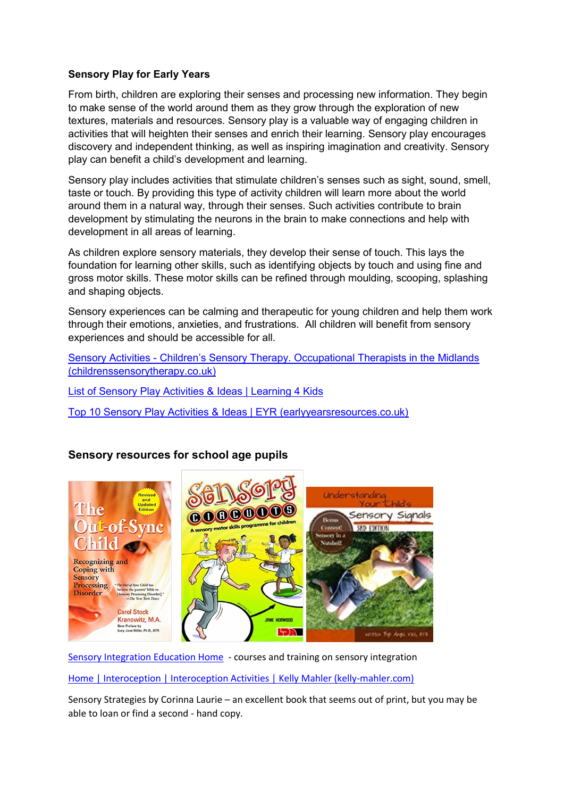#### **Sensory Play for Early Years**

From birth, children are exploring their senses and processing new information. They begin to make sense of the world around them as they grow through the exploration of new textures, materials and resources. Sensory play is a valuable way of engaging children in activities that will heighten their senses and enrich their learning. Sensory play encourages discovery and independent thinking, as well as inspiring imagination and creativity. Sensory play can benefit a child's development and learning.

Sensory play includes activities that stimulate children's senses such as sight, sound, smell, taste or touch. By providing this type of activity children will learn more about the world around them in a natural way, through their senses. Such activities contribute to brain development by stimulating the neurons in the brain to make connections and help with development in all areas of learning.

As children explore sensory materials, they develop their sense of touch. This lays the foundation for learning other skills, such as identifying objects by touch and using fine and gross motor skills. These motor skills can be refined through moulding, scooping, splashing and shaping objects.

Sensory experiences can be calming and therapeutic for young children and help them work through their emotions, anxieties, and frustrations. All children will benefit from sensory experiences and should be accessible for all.

Sensory Activities - [Children's Sensory Therapy. Occupationa](https://childrenssensorytherapy.co.uk/sensory-activities/)l Therapists in the Midlands [\(childrenssensorytherapy.co.uk\)](https://childrenssensorytherapy.co.uk/sensory-activities/)

[List of Sensory Play Activities & Ideas | Learning 4 Kids](https://www.learning4kids.net/play-ideas/exploring-activities/list-of-sensory-play-ideas/)

[Top 10 Sensory Play Activities & Ideas | EYR \(earlyyearsresources.co.uk\)](https://www.earlyyearsresources.co.uk/blog/2018/02/sensory-play-activities-and-ideas/)



# **Sensory resources for school age pupils**

[Sensory Integration Education Home](https://www.sensoryintegrationeducation.com/) - courses and training on sensory integration

[Home | Interoception | Interoception Activities | Kelly Mahler \(kelly-mahler.com\)](https://www.kelly-mahler.com/)

Sensory Strategies by Corinna Laurie – an excellent book that seems out of print, but you may be able to loan or find a second - hand copy.